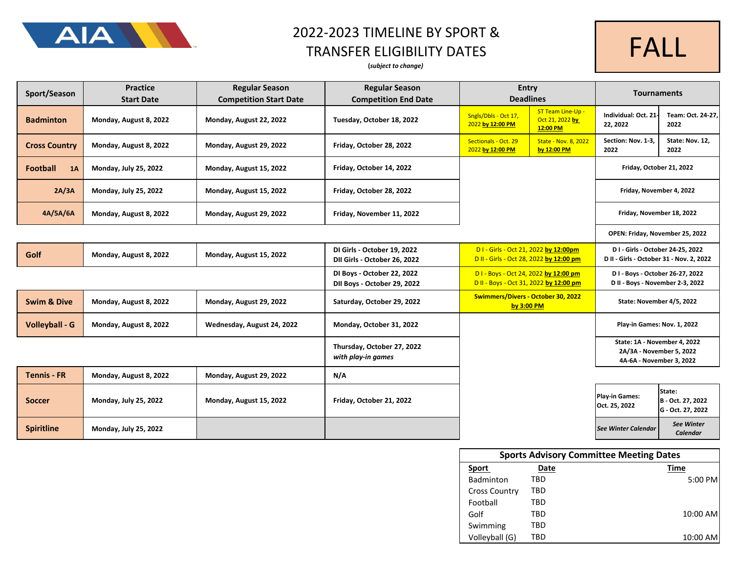

# 2022-2023 TIMELINE BY SPORT &

#### TRANSFER ELIGIBILITY DATES

#### **(***subject to change)*



| Sport/Season           | <b>Practice</b><br><b>Start Date</b> | <b>Regular Season</b><br><b>Competition Start Date</b> | <b>Regular Season</b><br><b>Competition End Date</b>        | Entry<br><b>Deadlines</b>                                                       |                                                  | <b>Tournaments</b>                                                                   |                                                  |
|------------------------|--------------------------------------|--------------------------------------------------------|-------------------------------------------------------------|---------------------------------------------------------------------------------|--------------------------------------------------|--------------------------------------------------------------------------------------|--------------------------------------------------|
| <b>Badminton</b>       | Monday, August 8, 2022               | Monday, August 22, 2022                                | Tuesday, October 18, 2022                                   | Sngls/Dbls - Oct 17,<br>2022 by 12:00 PM                                        | ST Team Line-Up -<br>Oct 21, 2022 by<br>12:00 PM | Individual: Oct. 21<br>22, 2022                                                      | Team: Oct. 24-27,<br>2022                        |
| <b>Cross Country</b>   | Monday, August 8, 2022               | Monday, August 29, 2022                                | Friday, October 28, 2022                                    | Sectionals - Oct. 29<br>2022 by 12:00 PM                                        | <b>State - Nov. 8, 2022</b><br>by 12:00 PM       | Section: Nov. 1-3,<br>2022                                                           | State: Nov. 12,<br>2022                          |
| <b>Football</b><br>1A  | Monday, July 25, 2022                | Monday, August 15, 2022                                | Friday, October 14, 2022                                    |                                                                                 |                                                  | Friday, October 21, 2022                                                             |                                                  |
| 2A/3A                  | Monday, July 25, 2022                | Monday, August 15, 2022                                | Friday, October 28, 2022                                    |                                                                                 |                                                  | Friday, November 4, 2022                                                             |                                                  |
| 4A/5A/6A               | Monday, August 8, 2022               | Monday, August 29, 2022                                | Friday, November 11, 2022                                   |                                                                                 |                                                  | Friday, November 18, 2022                                                            |                                                  |
|                        |                                      |                                                        |                                                             |                                                                                 |                                                  |                                                                                      | OPEN: Friday, November 25, 2022                  |
| Golf                   | Monday, August 8, 2022               | Monday, August 15, 2022                                | DI Girls - October 19, 2022<br>DII Girls - October 26, 2022 | D1 - Girls - Oct 21, 2022 by 12:00pm<br>D II - Girls - Oct 28, 2022 by 12:00 pm |                                                  | D I - Girls - October 24-25, 2022<br>D II - Girls - October 31 - Nov. 2, 2022        |                                                  |
|                        |                                      |                                                        | DI Boys - October 22, 2022<br>DII Boys - October 29, 2022   | D1 - Boys - Oct 24, 2022 by 12:00 pm<br>D II - Boys - Oct 31, 2022 by 12:00 pm  |                                                  | D I - Boys - October 26-27, 2022<br>D II - Boys - November 2-3, 2022                 |                                                  |
| <b>Swim &amp; Dive</b> | Monday, August 8, 2022               | Monday, August 29, 2022                                | Saturday, October 29, 2022                                  | Swimmers/Divers - October 30, 2022<br>by $3:00$ PM                              |                                                  |                                                                                      | State: November 4/5, 2022                        |
| <b>Volleyball - G</b>  | Monday, August 8, 2022               | Wednesday, August 24, 2022                             | Monday, October 31, 2022                                    |                                                                                 |                                                  | Play-in Games: Nov. 1, 2022                                                          |                                                  |
|                        |                                      |                                                        | Thursday, October 27, 2022<br>with play-in games            |                                                                                 |                                                  | State: 1A - November 4, 2022<br>2A/3A - November 5, 2022<br>4A-6A - November 3, 2022 |                                                  |
| <b>Tennis - FR</b>     | Monday, August 8, 2022               | Monday, August 29, 2022                                | N/A                                                         |                                                                                 |                                                  |                                                                                      |                                                  |
| <b>Soccer</b>          | Monday, July 25, 2022                | Monday, August 15, 2022                                | Friday, October 21, 2022                                    |                                                                                 |                                                  | Play-in Games:<br>Oct. 25, 2022                                                      | State:<br>B - Oct. 27, 2022<br>G - Oct. 27, 2022 |
| <b>Spiritline</b>      | Monday, July 25, 2022                |                                                        |                                                             |                                                                                 |                                                  | <b>See Winter Calendar</b>                                                           | <b>See Winter</b><br><b>Calendar</b>             |

| <b>Sports Advisory Committee Meeting Dates</b> |      |          |  |  |
|------------------------------------------------|------|----------|--|--|
| <b>Sport</b>                                   | Date | Time     |  |  |
| <b>Badminton</b>                               | TRD  | 5:00 PM  |  |  |
| <b>Cross Country</b>                           | TRD  |          |  |  |
| Football                                       | TRD  |          |  |  |
| Golf                                           | TBD  | 10:00 AM |  |  |
| Swimming                                       | TBD  |          |  |  |
| Volleyball (G)                                 | TRD  | 10:00 AM |  |  |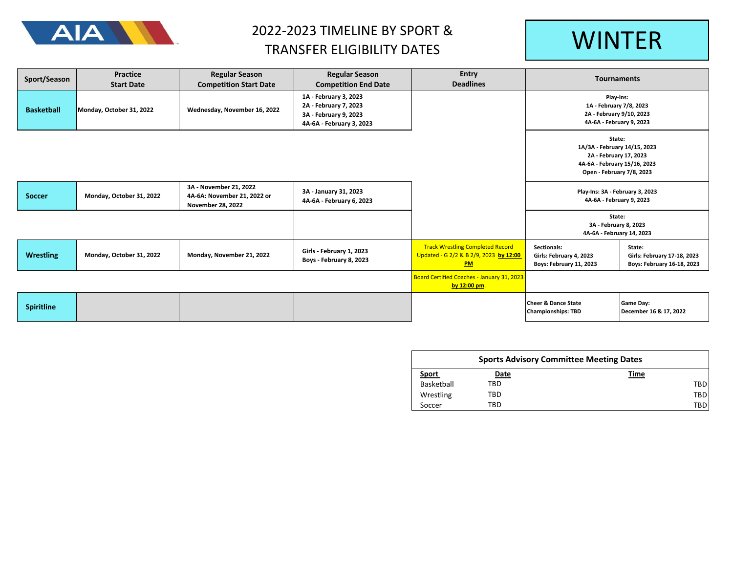

### 2022-2023 TIMELINE BY SPORT & TRANSFER ELIGIBILITY DATES MANUSCRIPT WINTER

| Sport/Season      | Practice<br><b>Start Date</b> | <b>Regular Season</b><br><b>Competition Start Date</b>                            | <b>Regular Season</b><br><b>Competition End Date</b>                                                | Entry<br><b>Deadlines</b>                                                               | <b>Tournaments</b>                                                                                                            |                                                                     |
|-------------------|-------------------------------|-----------------------------------------------------------------------------------|-----------------------------------------------------------------------------------------------------|-----------------------------------------------------------------------------------------|-------------------------------------------------------------------------------------------------------------------------------|---------------------------------------------------------------------|
| <b>Basketball</b> | Monday, October 31, 2022      | Wednesday, November 16, 2022                                                      | 1A - February 3, 2023<br>2A - February 7, 2023<br>3A - February 9, 2023<br>4A-6A - February 3, 2023 |                                                                                         | Play-Ins:<br>1A - February 7/8, 2023<br>2A - February 9/10, 2023<br>4A-6A - February 9, 2023                                  |                                                                     |
|                   |                               |                                                                                   |                                                                                                     |                                                                                         | State:<br>1A/3A - February 14/15, 2023<br>2A - February 17, 2023<br>4A-6A - February 15/16, 2023<br>Open - February 7/8, 2023 |                                                                     |
| <b>Soccer</b>     | Monday, October 31, 2022      | 3A - November 21, 2022<br>4A-6A: November 21, 2022 or<br><b>November 28, 2022</b> | 3A - January 31, 2023<br>4A-6A - February 6, 2023                                                   |                                                                                         | Play-Ins: 3A - February 3, 2023<br>4A-6A - February 9, 2023                                                                   |                                                                     |
|                   |                               |                                                                                   |                                                                                                     |                                                                                         | State:<br>3A - February 8, 2023<br>4A-6A - February 14, 2023                                                                  |                                                                     |
| <b>Wrestling</b>  | Monday, October 31, 2022      | Monday, November 21, 2022                                                         | Girls - February 1, 2023<br>Boys - February 8, 2023                                                 | <b>Track Wrestling Completed Record</b><br>Updated - G 2/2 & B 2/9, 2023 by 12:00<br>PM | Sectionals:<br>Girls: February 4, 2023<br>Boys: February 11, 2023                                                             | State:<br>Girls: February 17-18, 2023<br>Boys: February 16-18, 2023 |
|                   |                               |                                                                                   |                                                                                                     | Board Certified Coaches - January 31, 2023<br>by 12:00 pm.                              |                                                                                                                               |                                                                     |
| <b>Spiritline</b> |                               |                                                                                   |                                                                                                     |                                                                                         | <b>Cheer &amp; Dance State</b><br><b>Championships: TBD</b>                                                                   | <b>Game Day:</b><br>December 16 & 17, 2022                          |

| <b>Sports Advisory Committee Meeting Dates</b> |      |      |     |  |  |
|------------------------------------------------|------|------|-----|--|--|
| <u>Sport</u>                                   | Date | Time |     |  |  |
| Basketball                                     | TBD  |      | TBD |  |  |
| Wrestling                                      | TBD  |      | TBD |  |  |
| Soccer                                         | TBD  |      | TBD |  |  |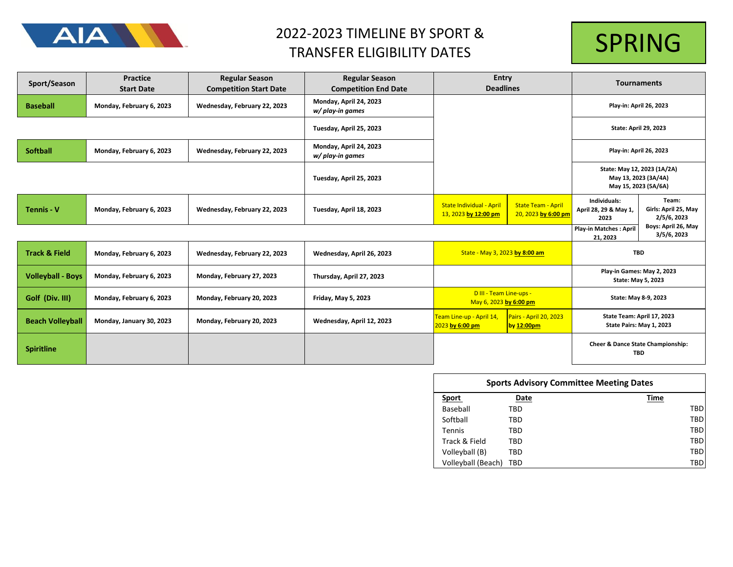

## 2022-2023 TIMELINE BY SPORT & TRANSFER ELIGIBILITY DATES



| Sport/Season             | <b>Practice</b><br><b>Start Date</b> | <b>Regular Season</b><br><b>Competition Start Date</b> | <b>Regular Season</b><br><b>Competition End Date</b> | Entry<br><b>Deadlines</b>                                                                                                                     |                                                  | <b>Tournaments</b>                                                          |                                              |
|--------------------------|--------------------------------------|--------------------------------------------------------|------------------------------------------------------|-----------------------------------------------------------------------------------------------------------------------------------------------|--------------------------------------------------|-----------------------------------------------------------------------------|----------------------------------------------|
| <b>Baseball</b>          | Monday, February 6, 2023             | Wednesday, February 22, 2023                           | Monday, April 24, 2023<br>w/ play-in games           |                                                                                                                                               |                                                  | Play-in: April 26, 2023                                                     |                                              |
|                          |                                      |                                                        | Tuesday, April 25, 2023                              |                                                                                                                                               |                                                  | <b>State: April 29, 2023</b>                                                |                                              |
| <b>Softball</b>          | Monday, February 6, 2023             | Wednesday, February 22, 2023                           | Monday, April 24, 2023<br>w/ play-in games           |                                                                                                                                               |                                                  | Play-in: April 26, 2023                                                     |                                              |
|                          |                                      |                                                        | Tuesday, April 25, 2023                              |                                                                                                                                               |                                                  | State: May 12, 2023 (1A/2A)<br>May 13, 2023 (3A/4A)<br>May 15, 2023 (5A/6A) |                                              |
| <b>Tennis - V</b>        | Monday, February 6, 2023             | Wednesday, February 22, 2023                           | Tuesday, April 18, 2023                              | <b>State Individual - April</b><br>13, 2023 by 12:00 pm                                                                                       | <b>State Team - April</b><br>20, 2023 by 6:00 pm | Individuals:<br>April 28, 29 & May 1,<br>2023                               | Team:<br>Girls: April 25, May<br>2/5/6, 2023 |
|                          |                                      |                                                        |                                                      |                                                                                                                                               |                                                  | <b>Play-in Matches: April</b><br>21, 2023                                   | Boys: April 26, May<br>3/5/6, 2023           |
| <b>Track &amp; Field</b> | Monday, February 6, 2023             | Wednesday, February 22, 2023                           | Wednesday, April 26, 2023                            | State - May 3, 2023 by 8:00 am                                                                                                                |                                                  | <b>TBD</b>                                                                  |                                              |
| <b>Volleyball - Boys</b> | Monday, February 6, 2023             | Monday, February 27, 2023                              | Thursday, April 27, 2023                             |                                                                                                                                               |                                                  | Play-in Games: May 2, 2023<br>State: May 5, 2023                            |                                              |
| Golf (Div. III)          | Monday, February 6, 2023             | Monday, February 20, 2023                              | Friday, May 5, 2023                                  | D III - Team Line-ups -<br>State: May 8-9, 2023<br>May 6, 2023 by 6:00 pm                                                                     |                                                  |                                                                             |                                              |
| <b>Beach Volleyball</b>  | Monday, January 30, 2023             | Monday, February 20, 2023                              | Wednesday, April 12, 2023                            | State Team: April 17, 2023<br>Team Line-up - April 14,<br>Pairs - April 20, 2023<br>State Pairs: May 1, 2023<br>2023 by 6:00 pm<br>by 12:00pm |                                                  |                                                                             |                                              |
| <b>Spiritline</b>        |                                      |                                                        |                                                      |                                                                                                                                               |                                                  | Cheer & Dance State Championship:<br><b>TBD</b>                             |                                              |

| <b>Sports Advisory Committee Meeting Dates</b> |      |  |      |  |
|------------------------------------------------|------|--|------|--|
| Sport                                          | Date |  | Time |  |
| Baseball                                       | TBD  |  | TBD  |  |
| Softball                                       | TBD  |  | TBD  |  |
| <b>Tennis</b>                                  | TBD  |  | TBD  |  |
| Track & Field                                  | TBD  |  | TBD  |  |
| Volleyball (B)                                 | TBD  |  | TBD  |  |
| Volleyball (Beach)                             | TBD  |  | TBD  |  |